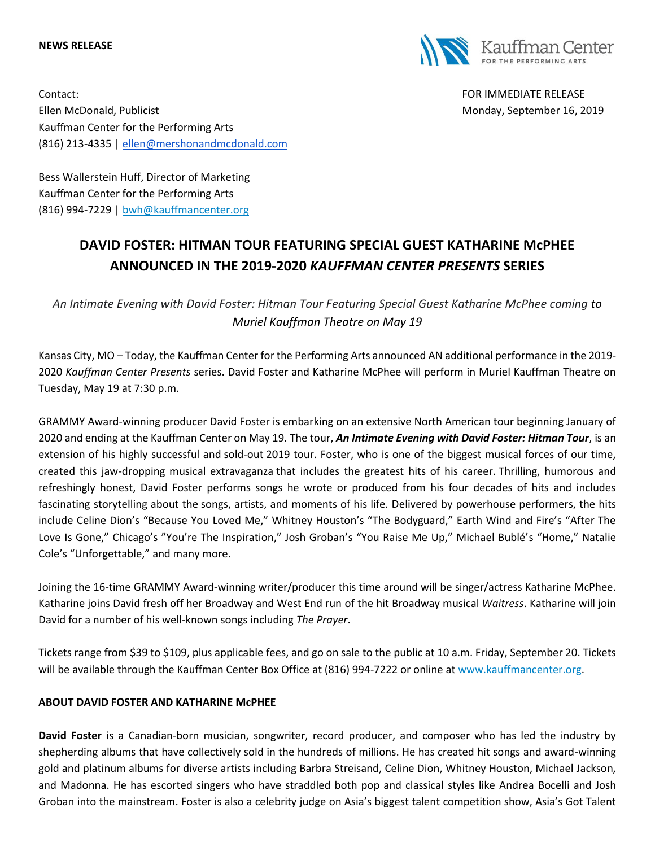#### **NEWS RELEASE**



Contact: FOR IMMEDIATE RELEASE Ellen McDonald, Publicist Monday, September 16, 2019 Kauffman Center for the Performing Arts (816) 213-4335 | [ellen@mershonandmcdonald.com](mailto:ellen@mershonandmcdonald.com)

Bess Wallerstein Huff, Director of Marketing Kauffman Center for the Performing Arts (816) 994-7229 | [bwh@kauffmancenter.org](mailto:bwh@kauffmancenter.org)

# **DAVID FOSTER: HITMAN TOUR FEATURING SPECIAL GUEST KATHARINE McPHEE ANNOUNCED IN THE 2019-2020** *KAUFFMAN CENTER PRESENTS* **SERIES**

*An Intimate Evening with David Foster: Hitman Tour Featuring Special Guest Katharine McPhee coming to Muriel Kauffman Theatre on May 19*

Kansas City, MO – Today, the Kauffman Center for the Performing Arts announced AN additional performance in the 2019- 2020 *Kauffman Center Presents* series. David Foster and Katharine McPhee will perform in Muriel Kauffman Theatre on Tuesday, May 19 at 7:30 p.m.

GRAMMY Award-winning producer David Foster is embarking on an extensive North American tour beginning January of 2020 and ending at the Kauffman Center on May 19. The tour, *An Intimate Evening with David Foster: Hitman Tour*, is an extension of his highly successful and sold-out 2019 tour. Foster, who is one of the biggest musical forces of our time, created this jaw-dropping musical extravaganza that includes the greatest hits of his career. Thrilling, humorous and refreshingly honest, David Foster performs songs he wrote or produced from his four decades of hits and includes fascinating storytelling about the songs, artists, and moments of his life. Delivered by powerhouse performers, the hits include Celine Dion's "Because You Loved Me," Whitney Houston's "The Bodyguard," Earth Wind and Fire's "After The Love Is Gone," Chicago's "You're The Inspiration," Josh Groban's "You Raise Me Up," Michael Bublé's "Home," Natalie Cole's "Unforgettable," and many more.

Joining the 16-time GRAMMY Award-winning writer/producer this time around will be singer/actress Katharine McPhee. Katharine joins David fresh off her Broadway and West End run of the hit Broadway musical *Waitress*. Katharine will join David for a number of his well-known songs including *The Prayer*.

Tickets range from \$39 to \$109, plus applicable fees, and go on sale to the public at 10 a.m. Friday, September 20. Tickets will be available through the Kauffman Center Box Office at (816) 994-7222 or online at [www.kauffmancenter.org.](http://www.kauffmancenter.org/)

## **ABOUT DAVID FOSTER AND KATHARINE McPHEE**

**David Foster** is a Canadian-born musician, songwriter, record producer, and composer who has led the industry by shepherding albums that have collectively sold in the hundreds of millions. He has created hit songs and award-winning gold and platinum albums for diverse artists including Barbra Streisand, Celine Dion, Whitney Houston, Michael Jackson, and Madonna. He has escorted singers who have straddled both pop and classical styles like Andrea Bocelli and Josh Groban into the mainstream. Foster is also a celebrity judge on Asia's biggest talent competition show, Asia's Got Talent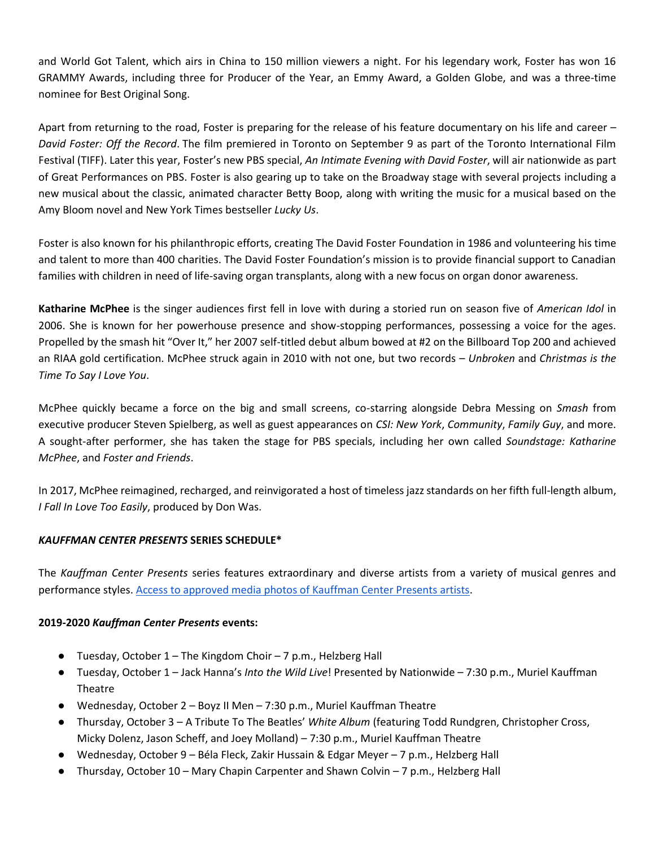and World Got Talent, which airs in China to 150 million viewers a night. For his legendary work, Foster has won 16 GRAMMY Awards, including three for Producer of the Year, an Emmy Award, a Golden Globe, and was a three-time nominee for Best Original Song.

Apart from returning to the road, Foster is preparing for the release of his feature documentary on his life and career – *David Foster: Off the Record*. The film premiered in Toronto on September 9 as part of the Toronto International Film Festival (TIFF). Later this year, Foster's new PBS special, *An Intimate Evening with David Foster*, will air nationwide as part of Great Performances on PBS. Foster is also gearing up to take on the Broadway stage with several projects including a new musical about the classic, animated character Betty Boop, along with writing the music for a musical based on the Amy Bloom novel and New York Times bestseller *Lucky Us*.

Foster is also known for his philanthropic efforts, creating The David Foster Foundation in 1986 and volunteering his time and talent to more than 400 charities. The David Foster Foundation's mission is to provide financial support to Canadian families with children in need of life-saving organ transplants, along with a new focus on organ donor awareness.

**Katharine McPhee** is the singer audiences first fell in love with during a storied run on season five of *American Idol* in 2006. She is known for her powerhouse presence and show-stopping performances, possessing a voice for the ages. Propelled by the smash hit "Over It," her 2007 self-titled debut album bowed at #2 on the Billboard Top 200 and achieved an RIAA gold certification. McPhee struck again in 2010 with not one, but two records – *Unbroken* and *Christmas is the Time To Say I Love You*.

McPhee quickly became a force on the big and small screens, co-starring alongside Debra Messing on *Smash* from executive producer Steven Spielberg, as well as guest appearances on *CSI: New York*, *Community*, *Family Guy*, and more. A sought-after performer, she has taken the stage for PBS specials, including her own called *Soundstage: Katharine McPhee*, and *Foster and Friends*.

In 2017, McPhee reimagined, recharged, and reinvigorated a host of timeless jazz standards on her fifth full-length album, *I Fall In Love Too Easily*, produced by Don Was.

## *KAUFFMAN CENTER PRESENTS* **SERIES SCHEDULE\***

The *Kauffman Center Presents* series features extraordinary and diverse artists from a variety of musical genres and performance styles. [Access to approved media photos of Kauffman Center Presents artists.](https://www.flickr.com/photos/kauffmancenter/sets/72157709544164312/)

#### **2019-2020** *Kauffman Center Presents* **events:**

- Tuesday, October 1 The Kingdom Choir 7 p.m., Helzberg Hall
- Tuesday, October 1 Jack Hanna's *Into the Wild Live*! Presented by Nationwide 7:30 p.m., Muriel Kauffman Theatre
- Wednesday, October 2 Boyz II Men 7:30 p.m., Muriel Kauffman Theatre
- Thursday, October 3 A Tribute To The Beatles' *White Album* (featuring Todd Rundgren, Christopher Cross, Micky Dolenz, Jason Scheff, and Joey Molland) – 7:30 p.m., Muriel Kauffman Theatre
- Wednesday, October 9 Béla Fleck, Zakir Hussain & Edgar Meyer 7 p.m., Helzberg Hall
- Thursday, October 10 Mary Chapin Carpenter and Shawn Colvin 7 p.m., Helzberg Hall